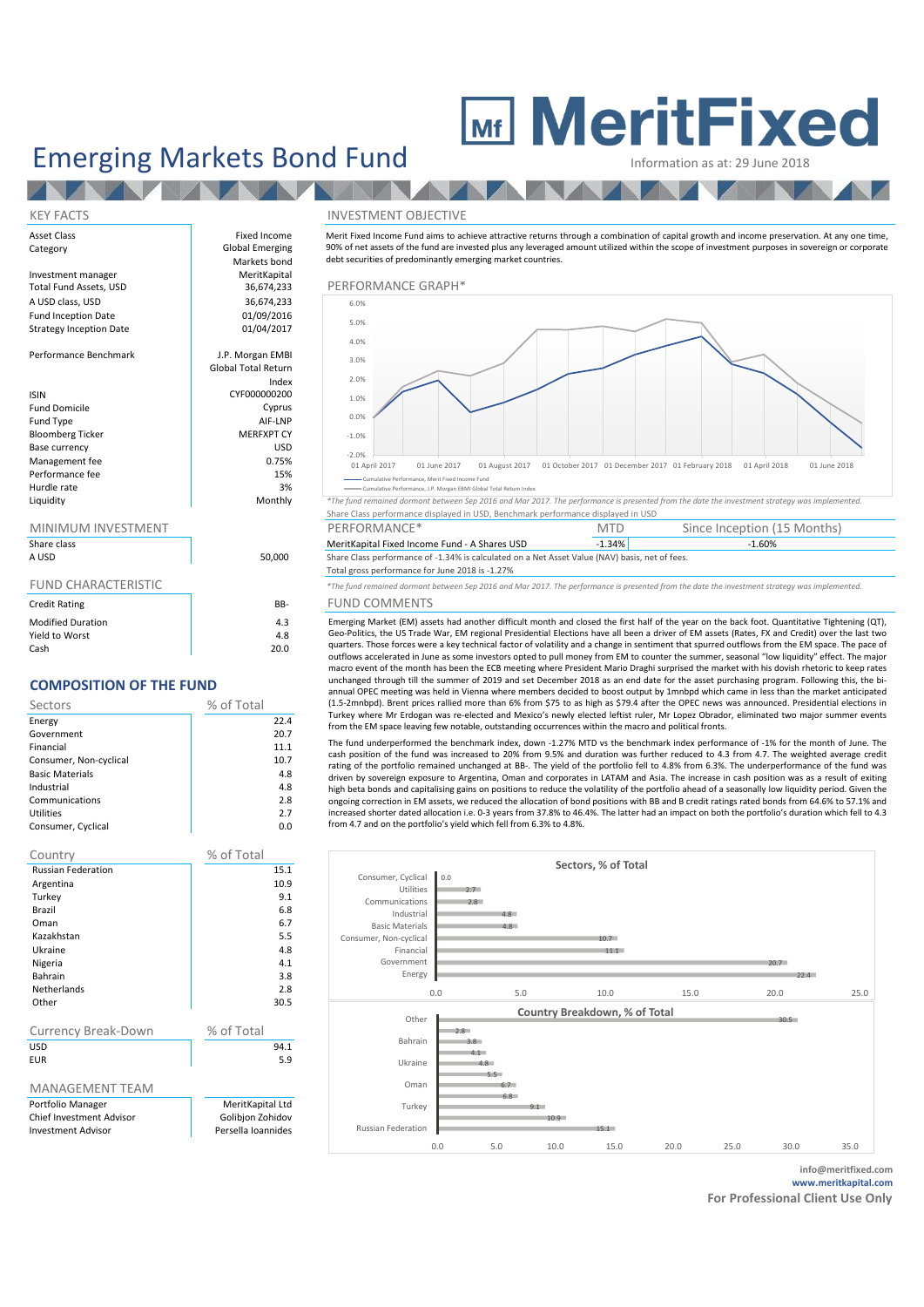## Emerging Markets Bond Fund

# **MeritFixed**

**AND A** 

**TANK TELEVISION** 

### Asset Class **Fixed Income** Category **Global Emerging** Markets bond<br>MeritKapital Investment manager MeritKapital<br>
Total Fund Assets. USD 36.674.233 A USD class, USD 36,674,233<br>
Fund Incention Date 61/09/2016 Fund Inception Date 01/09/2016<br>Strategy Incention Date 01/04/2017 Strategy Inception Date Performance Benchmark and J.P. Morgan EMBI Global Total Return Index ISIN CYF000000200 Fund Domicile Cyprus<br>
Fund Type **Cyprus**<br>
AIF-I NP Fund Type all and Type and Type and Type and Type and Type and Type and Type and Type and Type and Type and Type and Type and Type and Type and Type and Type and Type and Type and Type and Type and Type and Type and Type a Bloomberg Ticker MERFXPT CY<br>Rase Currency (USD) Base currency USD<br>
Management fee 
0.75%<br>
0.75% Management fee 6 0.75% of 15% of the 15% of the 15% of the 15% of the 15% of the 15% of the 15% of the 15% of the 15% of the 15% of the 15% of the 15% of the 15% of the 15% of the 15% of the 15% of the 15% of the 15% of th Performance fee 15% Hurdle rate and the state of the state of the state of the state of the state of the state of the state of the state of the state of the state of the state of the state of the state of the state of the state of the state o

N

### MINIMUM INVESTMENT

| Share class<br>A USD       | 50,000 |
|----------------------------|--------|
| <b>FUND CHARACTERISTIC</b> |        |
| <b>Credit Rating</b>       | BB-    |
| <b>Modified Duration</b>   | 4.3    |
| Yield to Worst             | 4.8    |

## Cash 20.0 **COMPOSITION OF THE FUND**

| Sectors                | % of Total |  |  |  |
|------------------------|------------|--|--|--|
| Energy                 | 22.4       |  |  |  |
| Government             | 20.7       |  |  |  |
| Financial              | 11.1       |  |  |  |
| Consumer, Non-cyclical | 10.7       |  |  |  |
| <b>Basic Materials</b> | 4.8        |  |  |  |
| Industrial             | 4.8        |  |  |  |
| Communications         | 2.8        |  |  |  |
| <b>Utilities</b>       | 2.7        |  |  |  |
| Consumer, Cyclical     | 0.0        |  |  |  |

| Country                   | % of Total         |  |  |
|---------------------------|--------------------|--|--|
| <b>Russian Federation</b> | 15.1               |  |  |
| Argentina                 | 10.9               |  |  |
| Turkey                    | 9.1                |  |  |
| Brazil                    | 6.8                |  |  |
| Oman                      | 6.7                |  |  |
| Kazakhstan                | 5.5                |  |  |
| Ukraine                   | 4.8                |  |  |
| Nigeria                   | 4.1                |  |  |
| Bahrain                   | 3.8                |  |  |
| <b>Netherlands</b>        | 2.8                |  |  |
| Other                     | 30.5               |  |  |
|                           |                    |  |  |
| Currency Break-Down       | % of Total         |  |  |
| USD                       | 94.1               |  |  |
| <b>FUR</b>                | 5.9                |  |  |
|                           |                    |  |  |
| MANAGEMENT TEAM           |                    |  |  |
| Portfolio Manager         | MeritKapital Ltd   |  |  |
| Chief Investment Advisor  | Golibjon Zohidov   |  |  |
| <b>Investment Advisor</b> | Persella Ioannides |  |  |

#### KEY FACTS INVESTMENT OBJECTIVE

Merit Fixed Income Fund aims to achieve attractive returns through a combination of capital growth and income preservation. At any one time, 90% of net assets of the fund are invested plus any leveraged amount utilized within the scope of investment purposes in sovereign or corporate debt securities of predominantly emerging market countries.

## 36,674,233 PERFORMANCE GRAPH\*<br>36,674,233



Cumulative Performance, Merit Fixed Income Fund ance, J.P. Morgan EBMI Gl

Liquidity Monthly *\*The fund remained dormant between Sep 2016 and Mar 2017. The performance is presented from the date the investment strategy was implemented.* Share Class performance displayed in USD, Benchmark performance displayed in USD

| <b>MINIMUM INVESTMENT</b>      |              | ™RMANC∟                                       |       | Months'<br>since<br>: Inception |  |
|--------------------------------|--------------|-----------------------------------------------|-------|---------------------------------|--|
| Share class                    |              | MeritKapital Fixed Income Fund - A Shares USD | 1.34% | -1.60%                          |  |
| $\cdot$ $\cdot$ $\cdot$ $\sim$ | $F^{\alpha}$ | .                                             |       |                                 |  |

O Share Class performance of -1.34% is calculated on a Net Asset Value (NAV) basis, net of fees.

## Total gross performance for June 2018 is -1.27%

\*The fund remained dormant between Sep 2016 and Mar 2017. The performance is presented from the date the investment strategy was implemented.

## **B-** FUND COMMENTS

Emerging Market (EM) assets had another difficult month and closed the first half of the year on the back foot. Quantitative Tightening (QT), Geo-Politics, the US Trade War, EM regional Presidential Elections have all been a driver of EM assets (Rates, FX and Credit) over the last two quarters. Those forces were a key technical factor of volatility and a change in sentiment that spurred outflows from the EM space. The pace of outflows accelerated in June as some investors opted to pull money from EM to counter the summer, seasonal "low liquidity" effect. The major macro event of the month has been the ECB meeting where President Mario Draghi surprised the market with his dovish rhetoric to keep rates unchanged through till the summer of 2019 and set December 2018 as an end date for the asset purchasing program. Following this, the biannual OPEC meeting was held in Vienna where members decided to boost output by 1mnbpd which came in less than the market anticipated (1.5-2mnbpd). Brent prices rallied more than 6% from \$75 to as high as \$79.4 after the OPEC news was announced. Presidential elections in Turkey where Mr Erdogan was re-elected and Mexico's newly elected leftist ruler, Mr Lopez Obrador, eliminated two major summer events from the EM space leaving few notable, outstanding occurrences within the macro and political fronts.

. The fund underperformed the benchmark index, down -1.27% MTD vs the benchmark index performance of -1% for the month of June. The cash position of the fund was increased to 20% from 9.5% and duration was further reduced to 4.3 from 4.7. The weighted average credit rating of the portfolio remained unchanged at BB-. The yield of the portfolio fell to 4.8% from 6.3%. The underperformance of the fund was driven by sovereign exposure to Argentina, Oman and corporates in LATAM and Asia. The increase in cash position was as a result of exiting high beta bonds and capitalising gains on positions to reduce the volatility of the portfolio ahead of a seasonally low liquidity period. Given the ongoing correction in EM assets, we reduced the allocation of bond positions with BB and B credit ratings rated bonds from 64.6% to 57.1% and increased shorter dated allocation i.e. 0-3 years from 37.8% to 46.4%. The latter had an impact on both the portfolio's duration which fell to 4.3 from 4.7 and on the portfolio's yield which fell from 6.3% to 4.8%.



**info@meritfixed.com www.meritkapital.com**

**For Professional Client Use Only**